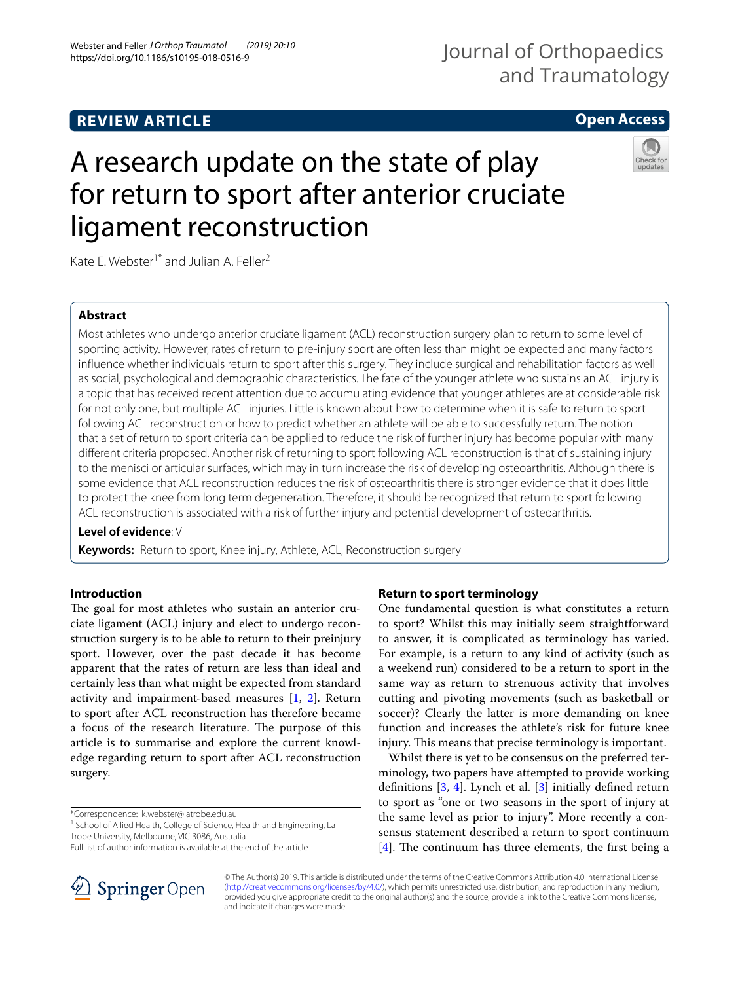## **REVIEW ARTICLE**

## Journal of Orthopaedics and Traumatology

## **Open Access**

# A research update on the state of play for return to sport after anterior cruciate ligament reconstruction



Kate E. Webster<sup>1\*</sup> and Julian A. Feller<sup>2</sup>

#### **Abstract**

Most athletes who undergo anterior cruciate ligament (ACL) reconstruction surgery plan to return to some level of sporting activity. However, rates of return to pre-injury sport are often less than might be expected and many factors infuence whether individuals return to sport after this surgery. They include surgical and rehabilitation factors as well as social, psychological and demographic characteristics. The fate of the younger athlete who sustains an ACL injury is a topic that has received recent attention due to accumulating evidence that younger athletes are at considerable risk for not only one, but multiple ACL injuries. Little is known about how to determine when it is safe to return to sport following ACL reconstruction or how to predict whether an athlete will be able to successfully return. The notion that a set of return to sport criteria can be applied to reduce the risk of further injury has become popular with many diferent criteria proposed. Another risk of returning to sport following ACL reconstruction is that of sustaining injury to the menisci or articular surfaces, which may in turn increase the risk of developing osteoarthritis. Although there is some evidence that ACL reconstruction reduces the risk of osteoarthritis there is stronger evidence that it does little to protect the knee from long term degeneration. Therefore, it should be recognized that return to sport following ACL reconstruction is associated with a risk of further injury and potential development of osteoarthritis.

#### **Level of evidence**: V

**Keywords:** Return to sport, Knee injury, Athlete, ACL, Reconstruction surgery

#### **Introduction**

The goal for most athletes who sustain an anterior cruciate ligament (ACL) injury and elect to undergo reconstruction surgery is to be able to return to their preinjury sport. However, over the past decade it has become apparent that the rates of return are less than ideal and certainly less than what might be expected from standard activity and impairment-based measures [[1,](#page-4-0) [2](#page-4-1)]. Return to sport after ACL reconstruction has therefore became a focus of the research literature. The purpose of this article is to summarise and explore the current knowledge regarding return to sport after ACL reconstruction surgery.

\*Correspondence: k.webster@latrobe.edu.au

<sup>1</sup> School of Allied Health, College of Science, Health and Engineering, La Trobe University, Melbourne, VIC 3086, Australia

Full list of author information is available at the end of the article



#### **Return to sport terminology**

One fundamental question is what constitutes a return to sport? Whilst this may initially seem straightforward to answer, it is complicated as terminology has varied. For example, is a return to any kind of activity (such as a weekend run) considered to be a return to sport in the same way as return to strenuous activity that involves cutting and pivoting movements (such as basketball or soccer)? Clearly the latter is more demanding on knee function and increases the athlete's risk for future knee injury. This means that precise terminology is important.

Whilst there is yet to be consensus on the preferred terminology, two papers have attempted to provide working definitions  $[3, 4]$  $[3, 4]$  $[3, 4]$  $[3, 4]$ . Lynch et al.  $[3]$  $[3]$  $[3]$  initially defined return to sport as "one or two seasons in the sport of injury at the same level as prior to injury". More recently a consensus statement described a return to sport continuum  $[4]$  $[4]$ . The continuum has three elements, the first being a

© The Author(s) 2019. This article is distributed under the terms of the Creative Commons Attribution 4.0 International License [\(http://creativecommons.org/licenses/by/4.0/\)](http://creativecommons.org/licenses/by/4.0/), which permits unrestricted use, distribution, and reproduction in any medium, provided you give appropriate credit to the original author(s) and the source, provide a link to the Creative Commons license, and indicate if changes were made.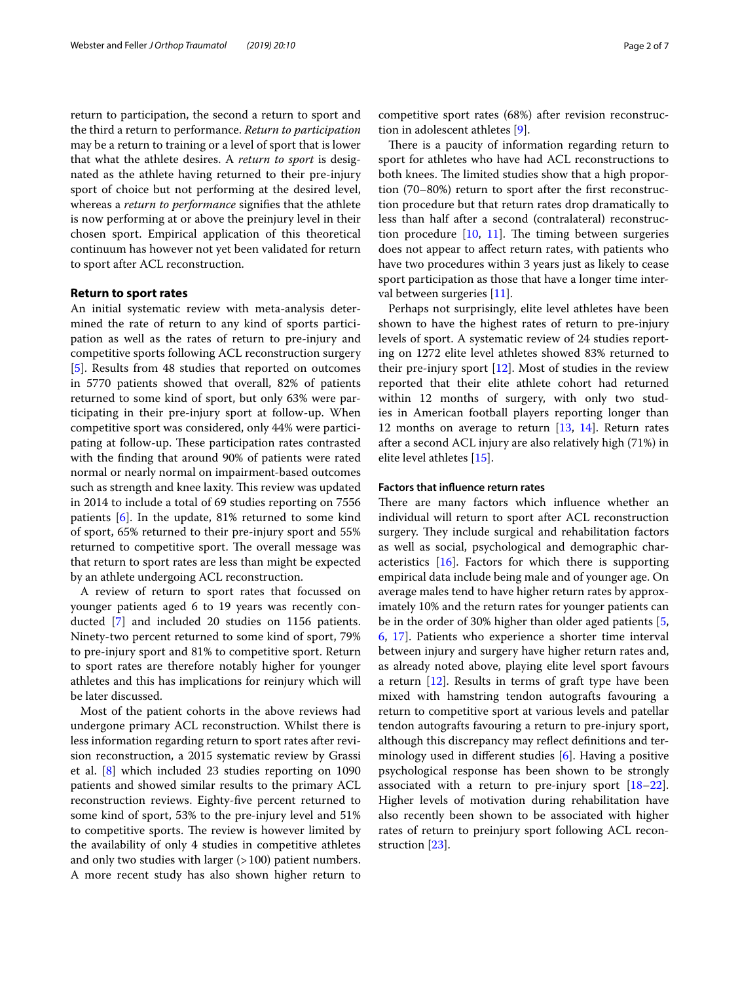return to participation, the second a return to sport and the third a return to performance. *Return to participation* may be a return to training or a level of sport that is lower that what the athlete desires. A *return to sport* is designated as the athlete having returned to their pre-injury sport of choice but not performing at the desired level, whereas a *return to performance* signifes that the athlete is now performing at or above the preinjury level in their chosen sport. Empirical application of this theoretical continuum has however not yet been validated for return to sport after ACL reconstruction.

#### **Return to sport rates**

An initial systematic review with meta-analysis determined the rate of return to any kind of sports participation as well as the rates of return to pre-injury and competitive sports following ACL reconstruction surgery [[5\]](#page-5-0). Results from 48 studies that reported on outcomes in 5770 patients showed that overall, 82% of patients returned to some kind of sport, but only 63% were participating in their pre-injury sport at follow-up. When competitive sport was considered, only 44% were participating at follow-up. These participation rates contrasted with the fnding that around 90% of patients were rated normal or nearly normal on impairment-based outcomes such as strength and knee laxity. This review was updated in 2014 to include a total of 69 studies reporting on 7556 patients [\[6](#page-5-1)]. In the update, 81% returned to some kind of sport, 65% returned to their pre-injury sport and 55% returned to competitive sport. The overall message was that return to sport rates are less than might be expected by an athlete undergoing ACL reconstruction.

A review of return to sport rates that focussed on younger patients aged 6 to 19 years was recently conducted [\[7\]](#page-5-2) and included 20 studies on 1156 patients. Ninety-two percent returned to some kind of sport, 79% to pre-injury sport and 81% to competitive sport. Return to sport rates are therefore notably higher for younger athletes and this has implications for reinjury which will be later discussed.

Most of the patient cohorts in the above reviews had undergone primary ACL reconstruction. Whilst there is less information regarding return to sport rates after revision reconstruction, a 2015 systematic review by Grassi et al. [\[8](#page-5-3)] which included 23 studies reporting on 1090 patients and showed similar results to the primary ACL reconstruction reviews. Eighty-fve percent returned to some kind of sport, 53% to the pre-injury level and 51% to competitive sports. The review is however limited by the availability of only 4 studies in competitive athletes and only two studies with larger  $(>100)$  patient numbers. A more recent study has also shown higher return to competitive sport rates (68%) after revision reconstruction in adolescent athletes [\[9](#page-5-4)].

There is a paucity of information regarding return to sport for athletes who have had ACL reconstructions to both knees. The limited studies show that a high proportion (70–80%) return to sport after the frst reconstruction procedure but that return rates drop dramatically to less than half after a second (contralateral) reconstruction procedure  $[10, 11]$  $[10, 11]$  $[10, 11]$ . The timing between surgeries does not appear to afect return rates, with patients who have two procedures within 3 years just as likely to cease sport participation as those that have a longer time interval between surgeries [[11\]](#page-5-6).

Perhaps not surprisingly, elite level athletes have been shown to have the highest rates of return to pre-injury levels of sport. A systematic review of 24 studies reporting on 1272 elite level athletes showed 83% returned to their pre-injury sport [\[12\]](#page-5-7). Most of studies in the review reported that their elite athlete cohort had returned within 12 months of surgery, with only two studies in American football players reporting longer than 12 months on average to return [\[13](#page-5-8), [14\]](#page-5-9). Return rates after a second ACL injury are also relatively high (71%) in elite level athletes [\[15](#page-5-10)].

#### **Factors that infuence return rates**

There are many factors which influence whether an individual will return to sport after ACL reconstruction surgery. They include surgical and rehabilitation factors as well as social, psychological and demographic characteristics [\[16\]](#page-5-11). Factors for which there is supporting empirical data include being male and of younger age. On average males tend to have higher return rates by approximately 10% and the return rates for younger patients can be in the order of 30% higher than older aged patients [\[5](#page-5-0), [6,](#page-5-1) [17\]](#page-5-12). Patients who experience a shorter time interval between injury and surgery have higher return rates and, as already noted above, playing elite level sport favours a return [\[12](#page-5-7)]. Results in terms of graft type have been mixed with hamstring tendon autografts favouring a return to competitive sport at various levels and patellar tendon autografts favouring a return to pre-injury sport, although this discrepancy may refect defnitions and terminology used in diferent studies [[6\]](#page-5-1). Having a positive psychological response has been shown to be strongly associated with a return to pre-injury sport  $[18-22]$  $[18-22]$  $[18-22]$ . Higher levels of motivation during rehabilitation have also recently been shown to be associated with higher rates of return to preinjury sport following ACL reconstruction [\[23](#page-5-15)].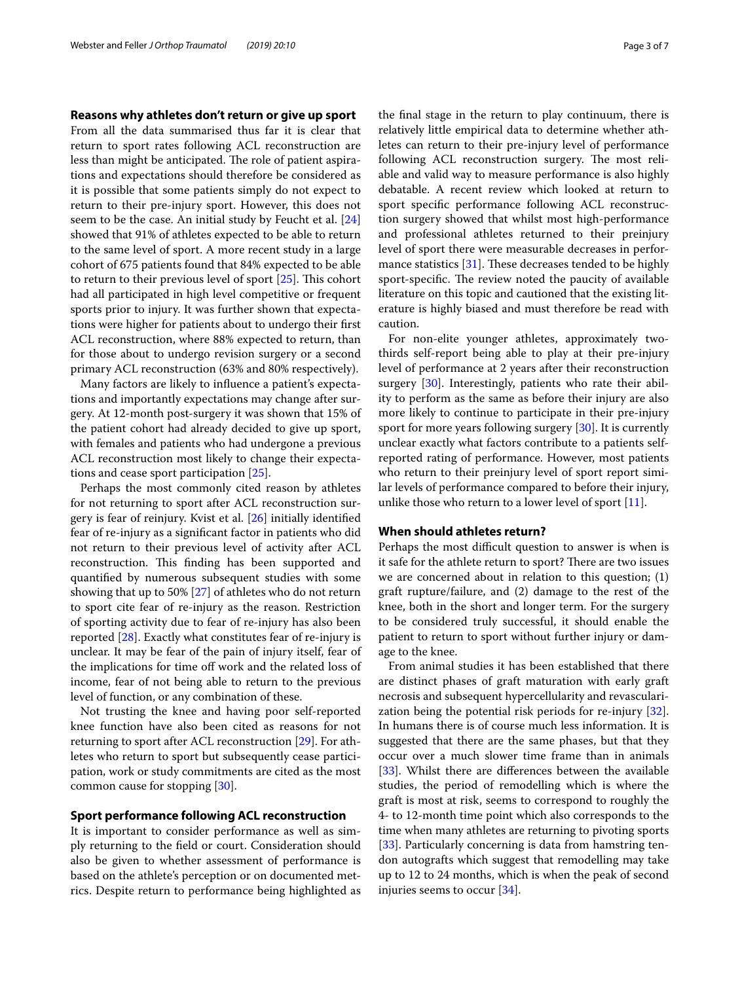#### **Reasons why athletes don't return or give up sport**

From all the data summarised thus far it is clear that return to sport rates following ACL reconstruction are less than might be anticipated. The role of patient aspirations and expectations should therefore be considered as it is possible that some patients simply do not expect to return to their pre-injury sport. However, this does not seem to be the case. An initial study by Feucht et al. [[24](#page-5-16)] showed that 91% of athletes expected to be able to return to the same level of sport. A more recent study in a large cohort of 675 patients found that 84% expected to be able to return to their previous level of sport  $[25]$  $[25]$  $[25]$ . This cohort had all participated in high level competitive or frequent sports prior to injury. It was further shown that expectations were higher for patients about to undergo their frst ACL reconstruction, where 88% expected to return, than for those about to undergo revision surgery or a second primary ACL reconstruction (63% and 80% respectively).

Many factors are likely to infuence a patient's expectations and importantly expectations may change after surgery. At 12-month post-surgery it was shown that 15% of the patient cohort had already decided to give up sport, with females and patients who had undergone a previous ACL reconstruction most likely to change their expectations and cease sport participation [[25\]](#page-5-17).

Perhaps the most commonly cited reason by athletes for not returning to sport after ACL reconstruction surgery is fear of reinjury. Kvist et al. [\[26](#page-5-18)] initially identifed fear of re-injury as a signifcant factor in patients who did not return to their previous level of activity after ACL reconstruction. This finding has been supported and quantifed by numerous subsequent studies with some showing that up to 50% [[27\]](#page-5-19) of athletes who do not return to sport cite fear of re-injury as the reason. Restriction of sporting activity due to fear of re-injury has also been reported [[28\]](#page-5-20). Exactly what constitutes fear of re-injury is unclear. It may be fear of the pain of injury itself, fear of the implications for time of work and the related loss of income, fear of not being able to return to the previous level of function, or any combination of these.

Not trusting the knee and having poor self-reported knee function have also been cited as reasons for not returning to sport after ACL reconstruction [\[29](#page-5-21)]. For athletes who return to sport but subsequently cease participation, work or study commitments are cited as the most common cause for stopping [\[30](#page-5-22)].

#### **Sport performance following ACL reconstruction**

It is important to consider performance as well as simply returning to the feld or court. Consideration should also be given to whether assessment of performance is based on the athlete's perception or on documented metrics. Despite return to performance being highlighted as the fnal stage in the return to play continuum, there is relatively little empirical data to determine whether athletes can return to their pre-injury level of performance following ACL reconstruction surgery. The most reliable and valid way to measure performance is also highly debatable. A recent review which looked at return to sport specifc performance following ACL reconstruction surgery showed that whilst most high-performance and professional athletes returned to their preinjury level of sport there were measurable decreases in performance statistics  $[31]$  $[31]$ . These decreases tended to be highly sport-specific. The review noted the paucity of available literature on this topic and cautioned that the existing literature is highly biased and must therefore be read with caution.

For non-elite younger athletes, approximately twothirds self-report being able to play at their pre-injury level of performance at 2 years after their reconstruction surgery [\[30](#page-5-22)]. Interestingly, patients who rate their ability to perform as the same as before their injury are also more likely to continue to participate in their pre-injury sport for more years following surgery [\[30\]](#page-5-22). It is currently unclear exactly what factors contribute to a patients selfreported rating of performance. However, most patients who return to their preinjury level of sport report similar levels of performance compared to before their injury, unlike those who return to a lower level of sport [[11\]](#page-5-6).

#### **When should athletes return?**

Perhaps the most difficult question to answer is when is it safe for the athlete return to sport? There are two issues we are concerned about in relation to this question; (1) graft rupture/failure, and (2) damage to the rest of the knee, both in the short and longer term. For the surgery to be considered truly successful, it should enable the patient to return to sport without further injury or damage to the knee.

From animal studies it has been established that there are distinct phases of graft maturation with early graft necrosis and subsequent hypercellularity and revascularization being the potential risk periods for re-injury [\[32](#page-5-24)]. In humans there is of course much less information. It is suggested that there are the same phases, but that they occur over a much slower time frame than in animals [[33\]](#page-5-25). Whilst there are differences between the available studies, the period of remodelling which is where the graft is most at risk, seems to correspond to roughly the 4- to 12-month time point which also corresponds to the time when many athletes are returning to pivoting sports [[33\]](#page-5-25). Particularly concerning is data from hamstring tendon autografts which suggest that remodelling may take up to 12 to 24 months, which is when the peak of second injuries seems to occur [\[34](#page-5-26)].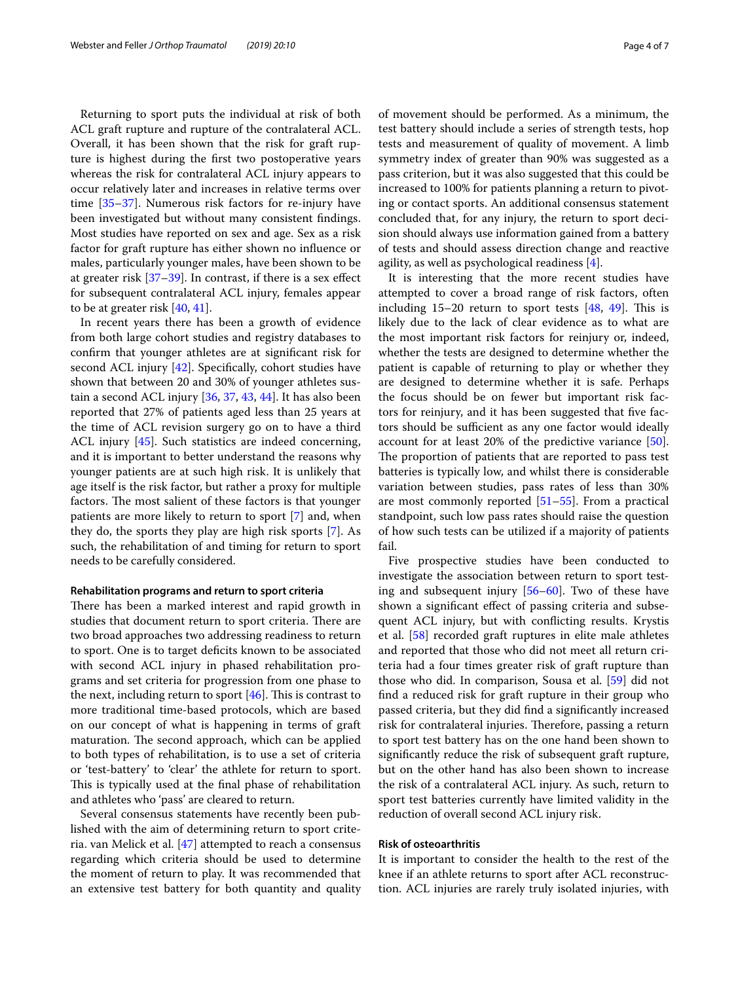Returning to sport puts the individual at risk of both ACL graft rupture and rupture of the contralateral ACL. Overall, it has been shown that the risk for graft rupture is highest during the frst two postoperative years whereas the risk for contralateral ACL injury appears to occur relatively later and increases in relative terms over time [\[35](#page-5-27)[–37](#page-5-28)]. Numerous risk factors for re-injury have been investigated but without many consistent fndings. Most studies have reported on sex and age. Sex as a risk factor for graft rupture has either shown no infuence or males, particularly younger males, have been shown to be at greater risk [[37](#page-5-28)[–39](#page-5-29)]. In contrast, if there is a sex efect for subsequent contralateral ACL injury, females appear to be at greater risk [\[40,](#page-5-30) [41](#page-5-31)].

In recent years there has been a growth of evidence from both large cohort studies and registry databases to confrm that younger athletes are at signifcant risk for second ACL injury [\[42\]](#page-5-32). Specifcally, cohort studies have shown that between 20 and 30% of younger athletes sustain a second ACL injury [\[36](#page-5-33), [37,](#page-5-28) [43](#page-5-34), [44\]](#page-6-0). It has also been reported that 27% of patients aged less than 25 years at the time of ACL revision surgery go on to have a third ACL injury [\[45](#page-6-1)]. Such statistics are indeed concerning, and it is important to better understand the reasons why younger patients are at such high risk. It is unlikely that age itself is the risk factor, but rather a proxy for multiple factors. The most salient of these factors is that younger patients are more likely to return to sport [[7\]](#page-5-2) and, when they do, the sports they play are high risk sports [\[7](#page-5-2)]. As such, the rehabilitation of and timing for return to sport needs to be carefully considered.

#### **Rehabilitation programs and return to sport criteria**

There has been a marked interest and rapid growth in studies that document return to sport criteria. There are two broad approaches two addressing readiness to return to sport. One is to target deficits known to be associated with second ACL injury in phased rehabilitation programs and set criteria for progression from one phase to the next, including return to sport  $[46]$  $[46]$ . This is contrast to more traditional time-based protocols, which are based on our concept of what is happening in terms of graft maturation. The second approach, which can be applied to both types of rehabilitation, is to use a set of criteria or 'test-battery' to 'clear' the athlete for return to sport. This is typically used at the final phase of rehabilitation and athletes who 'pass' are cleared to return.

Several consensus statements have recently been published with the aim of determining return to sport criteria. van Melick et al. [[47\]](#page-6-3) attempted to reach a consensus regarding which criteria should be used to determine the moment of return to play. It was recommended that an extensive test battery for both quantity and quality of movement should be performed. As a minimum, the test battery should include a series of strength tests, hop tests and measurement of quality of movement. A limb symmetry index of greater than 90% was suggested as a pass criterion, but it was also suggested that this could be increased to 100% for patients planning a return to pivoting or contact sports. An additional consensus statement concluded that, for any injury, the return to sport decision should always use information gained from a battery of tests and should assess direction change and reactive agility, as well as psychological readiness [\[4\]](#page-4-3).

It is interesting that the more recent studies have attempted to cover a broad range of risk factors, often including  $15-20$  return to sport tests  $[48, 49]$  $[48, 49]$  $[48, 49]$  $[48, 49]$  $[48, 49]$ . This is likely due to the lack of clear evidence as to what are the most important risk factors for reinjury or, indeed, whether the tests are designed to determine whether the patient is capable of returning to play or whether they are designed to determine whether it is safe. Perhaps the focus should be on fewer but important risk factors for reinjury, and it has been suggested that fve factors should be sufficient as any one factor would ideally account for at least 20% of the predictive variance [\[50](#page-6-6)]. The proportion of patients that are reported to pass test batteries is typically low, and whilst there is considerable variation between studies, pass rates of less than 30% are most commonly reported [[51–](#page-6-7)[55](#page-6-8)]. From a practical standpoint, such low pass rates should raise the question of how such tests can be utilized if a majority of patients fail.

Five prospective studies have been conducted to investigate the association between return to sport testing and subsequent injury [\[56–](#page-6-9)[60\]](#page-6-10). Two of these have shown a signifcant efect of passing criteria and subsequent ACL injury, but with conficting results. Krystis et al. [\[58](#page-6-11)] recorded graft ruptures in elite male athletes and reported that those who did not meet all return criteria had a four times greater risk of graft rupture than those who did. In comparison, Sousa et al. [\[59](#page-6-12)] did not fnd a reduced risk for graft rupture in their group who passed criteria, but they did fnd a signifcantly increased risk for contralateral injuries. Therefore, passing a return to sport test battery has on the one hand been shown to signifcantly reduce the risk of subsequent graft rupture, but on the other hand has also been shown to increase the risk of a contralateral ACL injury. As such, return to sport test batteries currently have limited validity in the reduction of overall second ACL injury risk.

#### **Risk of osteoarthritis**

It is important to consider the health to the rest of the knee if an athlete returns to sport after ACL reconstruction. ACL injuries are rarely truly isolated injuries, with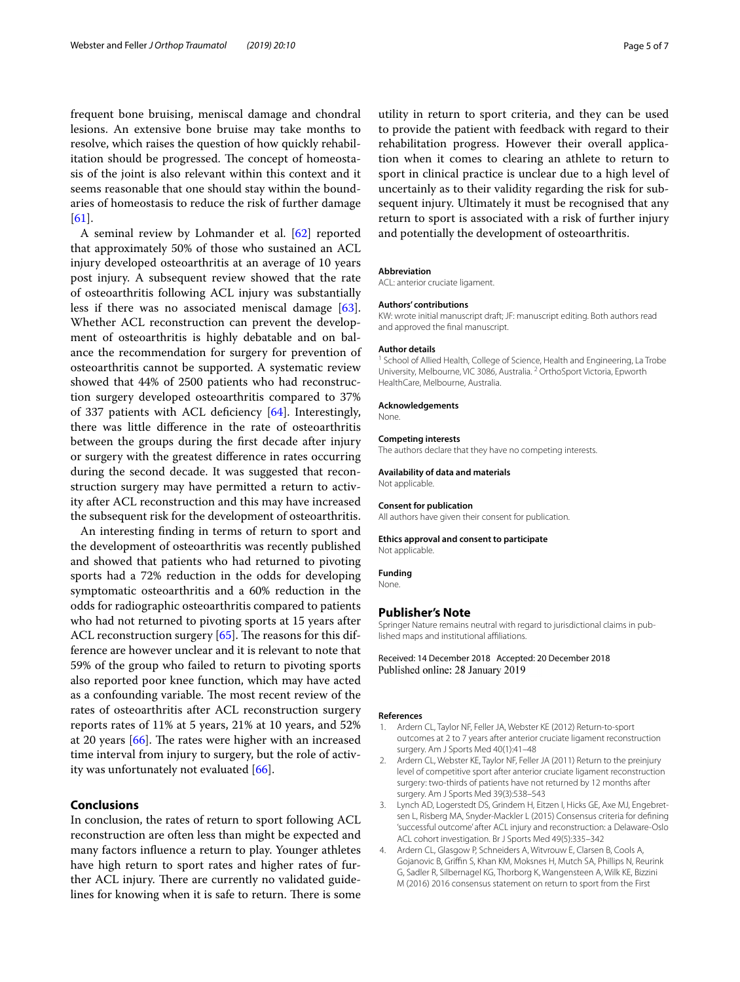frequent bone bruising, meniscal damage and chondral lesions. An extensive bone bruise may take months to resolve, which raises the question of how quickly rehabilitation should be progressed. The concept of homeostasis of the joint is also relevant within this context and it seems reasonable that one should stay within the boundaries of homeostasis to reduce the risk of further damage [[61\]](#page-6-13).

A seminal review by Lohmander et al. [[62](#page-6-14)] reported that approximately 50% of those who sustained an ACL injury developed osteoarthritis at an average of 10 years post injury. A subsequent review showed that the rate of osteoarthritis following ACL injury was substantially less if there was no associated meniscal damage [\[63](#page-6-15)]. Whether ACL reconstruction can prevent the development of osteoarthritis is highly debatable and on balance the recommendation for surgery for prevention of osteoarthritis cannot be supported. A systematic review showed that 44% of 2500 patients who had reconstruction surgery developed osteoarthritis compared to 37% of 337 patients with ACL defciency [\[64\]](#page-6-16). Interestingly, there was little diference in the rate of osteoarthritis between the groups during the frst decade after injury or surgery with the greatest diference in rates occurring during the second decade. It was suggested that reconstruction surgery may have permitted a return to activity after ACL reconstruction and this may have increased the subsequent risk for the development of osteoarthritis.

An interesting fnding in terms of return to sport and the development of osteoarthritis was recently published and showed that patients who had returned to pivoting sports had a 72% reduction in the odds for developing symptomatic osteoarthritis and a 60% reduction in the odds for radiographic osteoarthritis compared to patients who had not returned to pivoting sports at 15 years after ACL reconstruction surgery  $[65]$  $[65]$  $[65]$ . The reasons for this difference are however unclear and it is relevant to note that 59% of the group who failed to return to pivoting sports also reported poor knee function, which may have acted as a confounding variable. The most recent review of the rates of osteoarthritis after ACL reconstruction surgery reports rates of 11% at 5 years, 21% at 10 years, and 52% at 20 years  $[66]$  $[66]$ . The rates were higher with an increased time interval from injury to surgery, but the role of activity was unfortunately not evaluated [[66\]](#page-6-18).

#### **Conclusions**

In conclusion, the rates of return to sport following ACL reconstruction are often less than might be expected and many factors infuence a return to play. Younger athletes have high return to sport rates and higher rates of further ACL injury. There are currently no validated guidelines for knowing when it is safe to return. There is some

utility in return to sport criteria, and they can be used to provide the patient with feedback with regard to their rehabilitation progress. However their overall application when it comes to clearing an athlete to return to sport in clinical practice is unclear due to a high level of uncertainly as to their validity regarding the risk for subsequent injury. Ultimately it must be recognised that any return to sport is associated with a risk of further injury and potentially the development of osteoarthritis.

#### **Abbreviation**

ACL: anterior cruciate ligament.

#### **Authors' contributions**

KW: wrote initial manuscript draft; JF: manuscript editing. Both authors read and approved the fnal manuscript.

#### **Author details**

<sup>1</sup> School of Allied Health, College of Science, Health and Engineering, La Trobe University, Melbourne, VIC 3086, Australia. <sup>2</sup> OrthoSport Victoria, Epworth HealthCare, Melbourne, Australia.

#### **Acknowledgements**

**None** 

#### **Competing interests**

The authors declare that they have no competing interests.

### **Availability of data and materials**

Not applicable.

#### **Consent for publication**

All authors have given their consent for publication.

#### **Ethics approval and consent to participate**

Not applicable.

**Funding**

None.

#### **Publisher's Note**

Springer Nature remains neutral with regard to jurisdictional claims in published maps and institutional afliations.

Received: 14 December 2018 Accepted: 20 December 2018 Published online: 28 January 2019

#### **References**

- <span id="page-4-0"></span>1. Ardern CL, Taylor NF, Feller JA, Webster KE (2012) Return-to-sport outcomes at 2 to 7 years after anterior cruciate ligament reconstruction surgery. Am J Sports Med 40(1):41–48
- <span id="page-4-1"></span>2. Ardern CL, Webster KE, Taylor NF, Feller JA (2011) Return to the preinjury level of competitive sport after anterior cruciate ligament reconstruction surgery: two-thirds of patients have not returned by 12 months after surgery. Am J Sports Med 39(3):538–543
- <span id="page-4-2"></span>Lynch AD, Logerstedt DS, Grindem H, Eitzen I, Hicks GE, Axe MJ, Engebretsen L, Risberg MA, Snyder-Mackler L (2015) Consensus criteria for defning 'successful outcome' after ACL injury and reconstruction: a Delaware-Oslo ACL cohort investigation. Br J Sports Med 49(5):335–342
- <span id="page-4-3"></span>4. Ardern CL, Glasgow P, Schneiders A, Witvrouw E, Clarsen B, Cools A, Gojanovic B, Grifn S, Khan KM, Moksnes H, Mutch SA, Phillips N, Reurink G, Sadler R, Silbernagel KG, Thorborg K, Wangensteen A, Wilk KE, Bizzini M (2016) 2016 consensus statement on return to sport from the First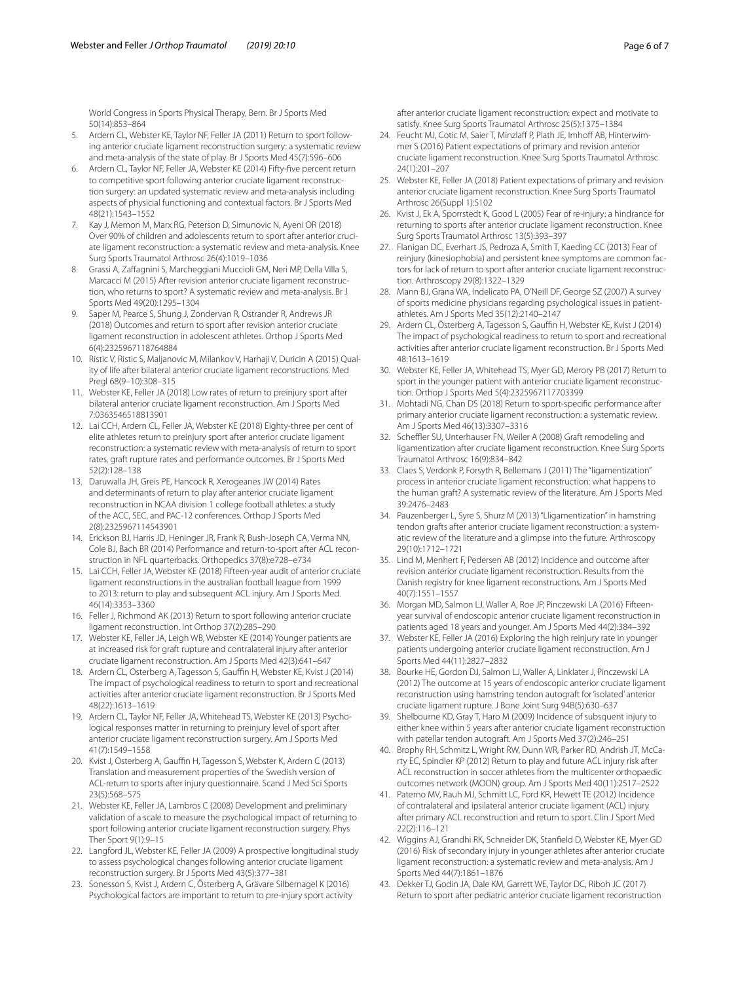World Congress in Sports Physical Therapy, Bern. Br J Sports Med 50(14):853–864

- <span id="page-5-0"></span>5. Ardern CL, Webster KE, Taylor NF, Feller JA (2011) Return to sport following anterior cruciate ligament reconstruction surgery: a systematic review and meta-analysis of the state of play. Br J Sports Med 45(7):596–606
- <span id="page-5-1"></span>6. Ardern CL, Taylor NF, Feller JA, Webster KE (2014) Fifty-fve percent return to competitive sport following anterior cruciate ligament reconstruction surgery: an updated systematic review and meta-analysis including aspects of physicial functioning and contextual factors. Br J Sports Med 48(21):1543–1552
- <span id="page-5-2"></span>7. Kay J, Memon M, Marx RG, Peterson D, Simunovic N, Ayeni OR (2018) Over 90% of children and adolescents return to sport after anterior cruciate ligament reconstruction: a systematic review and meta-analysis. Knee Surg Sports Traumatol Arthrosc 26(4):1019–1036
- <span id="page-5-3"></span>8. Grassi A, Zafagnini S, Marcheggiani Muccioli GM, Neri MP, Della Villa S, Marcacci M (2015) After revision anterior cruciate ligament reconstruction, who returns to sport? A systematic review and meta-analysis. Br J Sports Med 49(20):1295–1304
- <span id="page-5-4"></span>Saper M, Pearce S, Shung J, Zondervan R, Ostrander R, Andrews JR (2018) Outcomes and return to sport after revision anterior cruciate ligament reconstruction in adolescent athletes. Orthop J Sports Med 6(4):2325967118764884
- <span id="page-5-5"></span>10. Ristic V, Ristic S, Maljanovic M, Milankov V, Harhaji V, Duricin A (2015) Quality of life after bilateral anterior cruciate ligament reconstructions. Med Pregl 68(9–10):308–315
- <span id="page-5-6"></span>11. Webster KE, Feller JA (2018) Low rates of return to preinjury sport after bilateral anterior cruciate ligament reconstruction. Am J Sports Med 7:0363546518813901
- <span id="page-5-7"></span>12. Lai CCH, Ardern CL, Feller JA, Webster KE (2018) Eighty-three per cent of elite athletes return to preinjury sport after anterior cruciate ligament reconstruction: a systematic review with meta-analysis of return to sport rates, graft rupture rates and performance outcomes. Br J Sports Med 52(2):128–138
- <span id="page-5-8"></span>13. Daruwalla JH, Greis PE, Hancock R, Xerogeanes JW (2014) Rates and determinants of return to play after anterior cruciate ligament reconstruction in NCAA division 1 college football athletes: a study of the ACC, SEC, and PAC-12 conferences. Orthop J Sports Med 2(8):2325967114543901
- <span id="page-5-9"></span>14. Erickson BJ, Harris JD, Heninger JR, Frank R, Bush-Joseph CA, Verma NN, Cole BJ, Bach BR (2014) Performance and return-to-sport after ACL reconstruction in NFL quarterbacks. Orthopedics 37(8):e728–e734
- <span id="page-5-10"></span>15. Lai CCH, Feller JA, Webster KE (2018) Fifteen-year audit of anterior cruciate ligament reconstructions in the australian football league from 1999 to 2013: return to play and subsequent ACL injury. Am J Sports Med. 46(14):3353–3360
- <span id="page-5-11"></span>16. Feller J, Richmond AK (2013) Return to sport following anterior cruciate ligament reconstruction. Int Orthop 37(2):285–290
- <span id="page-5-12"></span>17. Webster KE, Feller JA, Leigh WB, Webster KE (2014) Younger patients are at increased risk for graft rupture and contralateral injury after anterior cruciate ligament reconstruction. Am J Sports Med 42(3):641–647
- <span id="page-5-13"></span>18. Ardern CL, Osterberg A, Tagesson S, Gauffin H, Webster KE, Kvist J (2014) The impact of psychological readiness to return to sport and recreational activities after anterior cruciate ligament reconstruction. Br J Sports Med 48(22):1613–1619
- 19. Ardern CL, Taylor NF, Feller JA, Whitehead TS, Webster KE (2013) Psychological responses matter in returning to preinjury level of sport after anterior cruciate ligament reconstruction surgery. Am J Sports Med 41(7):1549–1558
- 20. Kvist J, Osterberg A, Gauffin H, Tagesson S, Webster K, Ardern C (2013) Translation and measurement properties of the Swedish version of ACL-return to sports after injury questionnaire. Scand J Med Sci Sports 23(5):568–575
- 21. Webster KE, Feller JA, Lambros C (2008) Development and preliminary validation of a scale to measure the psychological impact of returning to sport following anterior cruciate ligament reconstruction surgery. Phys Ther Sport 9(1):9–15
- <span id="page-5-14"></span>22. Langford JL, Webster KE, Feller JA (2009) A prospective longitudinal study to assess psychological changes following anterior cruciate ligament reconstruction surgery. Br J Sports Med 43(5):377–381
- <span id="page-5-15"></span>23. Sonesson S, Kvist J, Ardern C, Österberg A, Grävare Silbernagel K (2016) Psychological factors are important to return to pre-injury sport activity

after anterior cruciate ligament reconstruction: expect and motivate to satisfy. Knee Surg Sports Traumatol Arthrosc 25(5):1375–1384

- <span id="page-5-16"></span>24. Feucht MJ, Cotic M, Saier T, Minzlaff P, Plath JE, Imhoff AB, Hinterwimmer S (2016) Patient expectations of primary and revision anterior cruciate ligament reconstruction. Knee Surg Sports Traumatol Arthrosc 24(1):201–207
- <span id="page-5-17"></span>25. Webster KE, Feller JA (2018) Patient expectations of primary and revision anterior cruciate ligament reconstruction. Knee Surg Sports Traumatol Arthrosc 26(Suppl 1):S102
- <span id="page-5-18"></span>26. Kvist J, Ek A, Sporrstedt K, Good L (2005) Fear of re-injury: a hindrance for returning to sports after anterior cruciate ligament reconstruction. Knee Surg Sports Traumatol Arthrosc 13(5):393–397
- <span id="page-5-19"></span>27. Flanigan DC, Everhart JS, Pedroza A, Smith T, Kaeding CC (2013) Fear of reinjury (kinesiophobia) and persistent knee symptoms are common factors for lack of return to sport after anterior cruciate ligament reconstruction. Arthroscopy 29(8):1322–1329
- <span id="page-5-20"></span>28. Mann BJ, Grana WA, Indelicato PA, O'Neill DF, George SZ (2007) A survey of sports medicine physicians regarding psychological issues in patientathletes. Am J Sports Med 35(12):2140–2147
- <span id="page-5-21"></span>29. Ardern CL, Österberg A, Tagesson S, Gauffin H, Webster KE, Kvist J (2014) The impact of psychological readiness to return to sport and recreational activities after anterior cruciate ligament reconstruction. Br J Sports Med 48:1613–1619
- <span id="page-5-22"></span>30. Webster KE, Feller JA, Whitehead TS, Myer GD, Merory PB (2017) Return to sport in the younger patient with anterior cruciate ligament reconstruction. Orthop J Sports Med 5(4):2325967117703399
- <span id="page-5-23"></span>31. Mohtadi NG, Chan DS (2018) Return to sport-specifc performance after primary anterior cruciate ligament reconstruction: a systematic review. Am J Sports Med 46(13):3307–3316
- <span id="page-5-24"></span>32. Scheffler SU, Unterhauser FN, Weiler A (2008) Graft remodeling and ligamentization after cruciate ligament reconstruction. Knee Surg Sports Traumatol Arthrosc 16(9):834–842
- <span id="page-5-25"></span>33. Claes S, Verdonk P, Forsyth R, Bellemans J (2011) The "ligamentization" process in anterior cruciate ligament reconstruction: what happens to the human graft? A systematic review of the literature. Am J Sports Med 39:2476–2483
- <span id="page-5-26"></span>34. Pauzenberger L, Syre S, Shurz M (2013) "Lligamentization" in hamstring tendon grafts after anterior cruciate ligament reconstruction: a systematic review of the literature and a glimpse into the future. Arthroscopy 29(10):1712–1721
- <span id="page-5-27"></span>35. Lind M, Menhert F, Pedersen AB (2012) Incidence and outcome after revision anterior cruciate ligament reconstruction. Results from the Danish registry for knee ligament reconstructions. Am J Sports Med 40(7):1551–1557
- <span id="page-5-33"></span>36. Morgan MD, Salmon LJ, Waller A, Roe JP, Pinczewski LA (2016) Fifteenyear survival of endoscopic anterior cruciate ligament reconstruction in patients aged 18 years and younger. Am J Sports Med 44(2):384–392
- <span id="page-5-28"></span>37. Webster KE, Feller JA (2016) Exploring the high reinjury rate in younger patients undergoing anterior cruciate ligament reconstruction. Am J Sports Med 44(11):2827–2832
- 38. Bourke HE, Gordon DJ, Salmon LJ, Waller A, Linklater J, Pinczewski LA (2012) The outcome at 15 years of endoscopic anterior cruciate ligament reconstruction using hamstring tendon autograft for 'isolated' anterior cruciate ligament rupture. J Bone Joint Surg 94B(5):630–637
- <span id="page-5-29"></span>39. Shelbourne KD, Gray T, Haro M (2009) Incidence of subsquent injury to either knee within 5 years after anterior cruciate ligament reconstruction with patellar tendon autograft. Am J Sports Med 37(2):246–251
- <span id="page-5-30"></span>40. Brophy RH, Schmitz L, Wright RW, Dunn WR, Parker RD, Andrish JT, McCarty EC, Spindler KP (2012) Return to play and future ACL injury risk after ACL reconstruction in soccer athletes from the multicenter orthopaedic outcomes network (MOON) group. Am J Sports Med 40(11):2517–2522
- <span id="page-5-31"></span>41. Paterno MV, Rauh MJ, Schmitt LC, Ford KR, Hewett TE (2012) Incidence of contralateral and ipsilateral anterior cruciate ligament (ACL) injury after primary ACL reconstruction and return to sport. Clin J Sport Med 22(2):116–121
- <span id="page-5-32"></span>42. Wiggins AJ, Grandhi RK, Schneider DK, Stanfeld D, Webster KE, Myer GD (2016) Risk of secondary injury in younger athletes after anterior cruciate ligament reconstruction: a systematic review and meta-analysis. Am J Sports Med 44(7):1861–1876
- <span id="page-5-34"></span>43. Dekker TJ, Godin JA, Dale KM, Garrett WE, Taylor DC, Riboh JC (2017) Return to sport after pediatric anterior cruciate ligament reconstruction